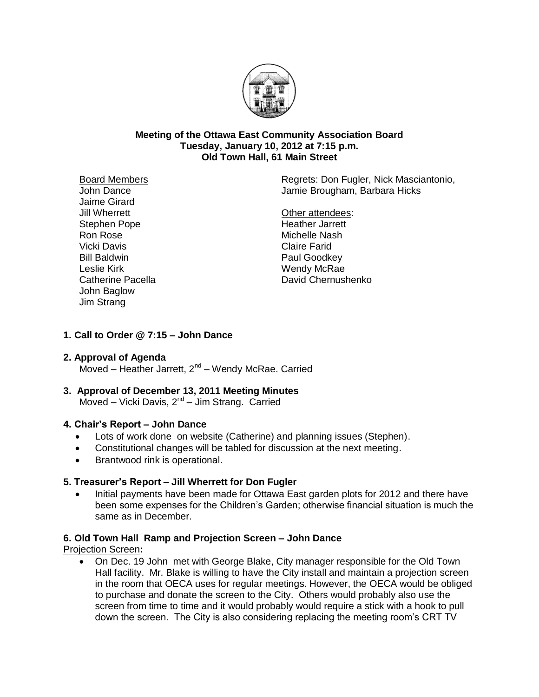

### **Meeting of the Ottawa East Community Association Board Tuesday, January 10, 2012 at 7:15 p.m. Old Town Hall, 61 Main Street**

Board Members John Dance Jaime Girard Jill Wherrett Stephen Pope Ron Rose Vicki Davis Bill Baldwin Leslie Kirk Catherine Pacella John Baglow Jim Strang

Regrets: Don Fugler, Nick Masciantonio, Jamie Brougham, Barbara Hicks

Other attendees: Heather Jarrett Michelle Nash Claire Farid Paul Goodkey Wendy McRae David Chernushenko

## **1. Call to Order @ 7:15 – John Dance**

### **2. Approval of Agenda**

Moved – Heather Jarrett, 2<sup>nd</sup> – Wendy McRae. Carried

**3. Approval of December 13, 2011 Meeting Minutes** Moved - Vicki Davis, 2<sup>nd</sup> - Jim Strang. Carried

### **4. Chair's Report – John Dance**

- Lots of work done on website (Catherine) and planning issues (Stephen).
- Constitutional changes will be tabled for discussion at the next meeting.
- Brantwood rink is operational.

## **5. Treasurer's Report – Jill Wherrett for Don Fugler**

 Initial payments have been made for Ottawa East garden plots for 2012 and there have been some expenses for the Children's Garden; otherwise financial situation is much the same as in December.

### **6. Old Town Hall Ramp and Projection Screen – John Dance**

Projection Screen**:**

 On Dec. 19 John met with George Blake, City manager responsible for the Old Town Hall facility. Mr. Blake is willing to have the City install and maintain a projection screen in the room that OECA uses for regular meetings. However, the OECA would be obliged to purchase and donate the screen to the City. Others would probably also use the screen from time to time and it would probably would require a stick with a hook to pull down the screen. The City is also considering replacing the meeting room's CRT TV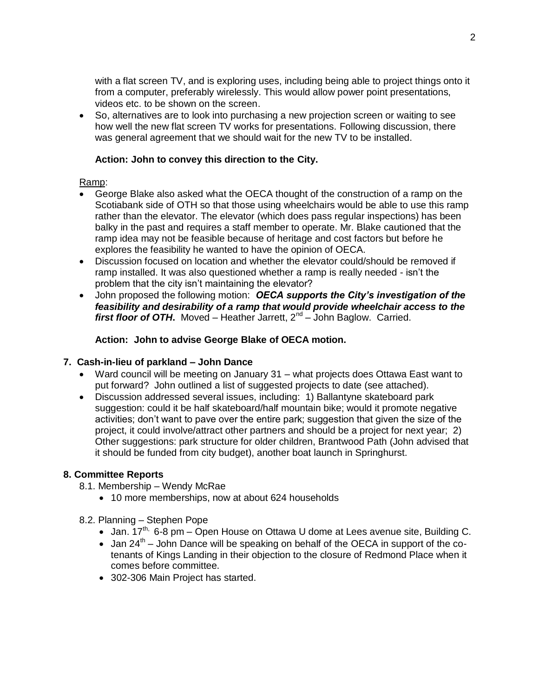with a flat screen TV, and is exploring uses, including being able to project things onto it from a computer, preferably wirelessly. This would allow power point presentations, videos etc. to be shown on the screen.

 So, alternatives are to look into purchasing a new projection screen or waiting to see how well the new flat screen TV works for presentations. Following discussion, there was general agreement that we should wait for the new TV to be installed.

## **Action: John to convey this direction to the City.**

### Ramp:

- George Blake also asked what the OECA thought of the construction of a ramp on the Scotiabank side of OTH so that those using wheelchairs would be able to use this ramp rather than the elevator. The elevator (which does pass regular inspections) has been balky in the past and requires a staff member to operate. Mr. Blake cautioned that the ramp idea may not be feasible because of heritage and cost factors but before he explores the feasibility he wanted to have the opinion of OECA.
- Discussion focused on location and whether the elevator could/should be removed if ramp installed. It was also questioned whether a ramp is really needed - isn't the problem that the city isn't maintaining the elevator?
- John proposed the following motion:*OECA supports the City's investigation of the feasibility and desirability of a ramp that would provide wheelchair access to the*  first floor of OTH. Moved - Heather Jarrett, 2<sup>nd</sup> - John Baglow. Carried.

## **Action: John to advise George Blake of OECA motion.**

### **7. Cash-in-lieu of parkland – John Dance**

- Ward council will be meeting on January 31 what projects does Ottawa East want to put forward? John outlined a list of suggested projects to date (see attached).
- Discussion addressed several issues, including: 1) Ballantyne skateboard park suggestion: could it be half skateboard/half mountain bike; would it promote negative activities; don't want to pave over the entire park; suggestion that given the size of the project, it could involve/attract other partners and should be a project for next year; 2) Other suggestions: park structure for older children, Brantwood Path (John advised that it should be funded from city budget), another boat launch in Springhurst.

### **8. Committee Reports**

- 8.1. Membership Wendy McRae
	- 10 more memberships, now at about 624 households

### 8.2. Planning – Stephen Pope

- Jan.  $17^{th}$ , 6-8 pm Open House on Ottawa U dome at Lees avenue site, Building C.
- $\bullet$  Jan 24<sup>th</sup> John Dance will be speaking on behalf of the OECA in support of the cotenants of Kings Landing in their objection to the closure of Redmond Place when it comes before committee.
- 302-306 Main Project has started.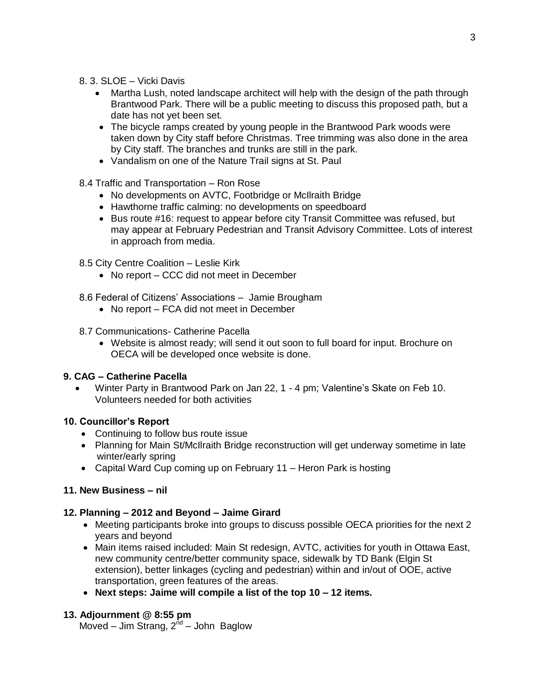- 8. 3. SLOE Vicki Davis
	- Martha Lush, noted landscape architect will help with the design of the path through Brantwood Park. There will be a public meeting to discuss this proposed path, but a date has not yet been set.
	- The bicycle ramps created by young people in the Brantwood Park woods were taken down by City staff before Christmas. Tree trimming was also done in the area by City staff. The branches and trunks are still in the park.
	- Vandalism on one of the Nature Trail signs at St. Paul
- 8.4 Traffic and Transportation Ron Rose
	- No developments on AVTC, Footbridge or McIlraith Bridge
	- Hawthorne traffic calming: no developments on speedboard
	- Bus route #16: request to appear before city Transit Committee was refused, but may appear at February Pedestrian and Transit Advisory Committee. Lots of interest in approach from media.
- 8.5 City Centre Coalition Leslie Kirk
	- No report CCC did not meet in December
- 8.6 Federal of Citizens' Associations Jamie Brougham
	- No report FCA did not meet in December
- 8.7 Communications- Catherine Pacella
	- Website is almost ready; will send it out soon to full board for input. Brochure on OECA will be developed once website is done.

## **9. CAG – Catherine Pacella**

 Winter Party in Brantwood Park on Jan 22, 1 - 4 pm; Valentine's Skate on Feb 10. Volunteers needed for both activities

# **10. Councillor's Report**

- Continuing to follow bus route issue
- Planning for Main St/McIlraith Bridge reconstruction will get underway sometime in late winter/early spring
- Capital Ward Cup coming up on February 11 Heron Park is hosting

# **11. New Business – nil**

## **12. Planning – 2012 and Beyond – Jaime Girard**

- Meeting participants broke into groups to discuss possible OECA priorities for the next 2 years and beyond
- Main items raised included: Main St redesign, AVTC, activities for youth in Ottawa East, new community centre/better community space, sidewalk by TD Bank (Elgin St extension), better linkages (cycling and pedestrian) within and in/out of OOE, active transportation, green features of the areas.
- **Next steps: Jaime will compile a list of the top 10 – 12 items.**

## **13. Adjournment @ 8:55 pm**

Moved – Jim Strang, 2<sup>nd</sup> – John Baglow